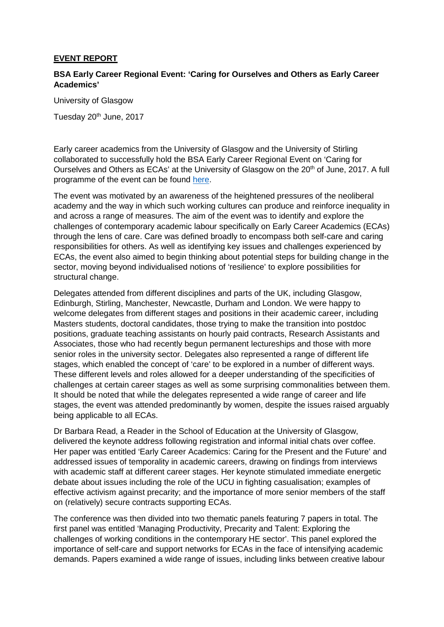## **EVENT REPORT**

## **BSA Early Career Regional Event: 'Caring for Ourselves and Others as Early Career Academics'**

University of Glasgow

Tuesday 20<sup>th</sup> June. 2017

Early career academics from the University of Glasgow and the University of Stirling collaborated to successfully hold the BSA Early Career Regional Event on 'Caring for Ourselves and Others as ECAs' at the University of Glasgow on the 20<sup>th</sup> of June, 2017. A full programme of the event can be found [here.](https://www.britsoc.co.uk/media/24352/caring_for_ourselves_200617.pdf)

The event was motivated by an awareness of the heightened pressures of the neoliberal academy and the way in which such working cultures can produce and reinforce inequality in and across a range of measures. The aim of the event was to identify and explore the challenges of contemporary academic labour specifically on Early Career Academics (ECAs) through the lens of care. Care was defined broadly to encompass both self-care and caring responsibilities for others. As well as identifying key issues and challenges experienced by ECAs, the event also aimed to begin thinking about potential steps for building change in the sector, moving beyond individualised notions of 'resilience' to explore possibilities for structural change.

Delegates attended from different disciplines and parts of the UK, including Glasgow, Edinburgh, Stirling, Manchester, Newcastle, Durham and London. We were happy to welcome delegates from different stages and positions in their academic career, including Masters students, doctoral candidates, those trying to make the transition into postdoc positions, graduate teaching assistants on hourly paid contracts, Research Assistants and Associates, those who had recently begun permanent lectureships and those with more senior roles in the university sector. Delegates also represented a range of different life stages, which enabled the concept of 'care' to be explored in a number of different ways. These different levels and roles allowed for a deeper understanding of the specificities of challenges at certain career stages as well as some surprising commonalities between them. It should be noted that while the delegates represented a wide range of career and life stages, the event was attended predominantly by women, despite the issues raised arguably being applicable to all ECAs.

Dr Barbara Read, a Reader in the School of Education at the University of Glasgow, delivered the keynote address following registration and informal initial chats over coffee. Her paper was entitled 'Early Career Academics: Caring for the Present and the Future' and addressed issues of temporality in academic careers, drawing on findings from interviews with academic staff at different career stages. Her keynote stimulated immediate energetic debate about issues including the role of the UCU in fighting casualisation; examples of effective activism against precarity; and the importance of more senior members of the staff on (relatively) secure contracts supporting ECAs.

The conference was then divided into two thematic panels featuring 7 papers in total. The first panel was entitled 'Managing Productivity, Precarity and Talent: Exploring the challenges of working conditions in the contemporary HE sector'. This panel explored the importance of self-care and support networks for ECAs in the face of intensifying academic demands. Papers examined a wide range of issues, including links between creative labour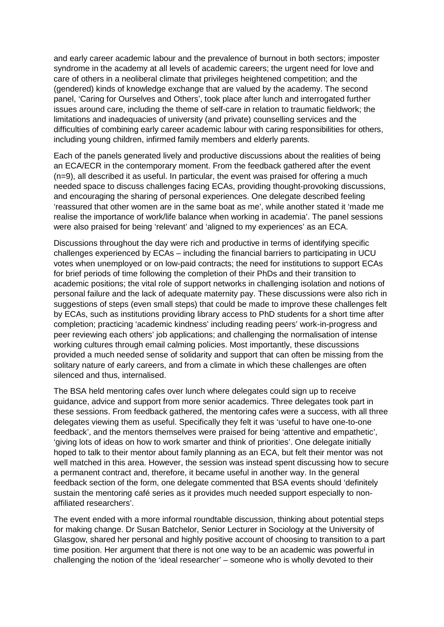and early career academic labour and the prevalence of burnout in both sectors; imposter syndrome in the academy at all levels of academic careers; the urgent need for love and care of others in a neoliberal climate that privileges heightened competition; and the (gendered) kinds of knowledge exchange that are valued by the academy. The second panel, 'Caring for Ourselves and Others', took place after lunch and interrogated further issues around care, including the theme of self-care in relation to traumatic fieldwork; the limitations and inadequacies of university (and private) counselling services and the difficulties of combining early career academic labour with caring responsibilities for others, including young children, infirmed family members and elderly parents.

Each of the panels generated lively and productive discussions about the realities of being an ECA/ECR in the contemporary moment. From the feedback gathered after the event (n=9), all described it as useful. In particular, the event was praised for offering a much needed space to discuss challenges facing ECAs, providing thought-provoking discussions, and encouraging the sharing of personal experiences. One delegate described feeling 'reassured that other women are in the same boat as me', while another stated it 'made me realise the importance of work/life balance when working in academia'. The panel sessions were also praised for being 'relevant' and 'aligned to my experiences' as an ECA.

Discussions throughout the day were rich and productive in terms of identifying specific challenges experienced by ECAs – including the financial barriers to participating in UCU votes when unemployed or on low-paid contracts; the need for institutions to support ECAs for brief periods of time following the completion of their PhDs and their transition to academic positions; the vital role of support networks in challenging isolation and notions of personal failure and the lack of adequate maternity pay. These discussions were also rich in suggestions of steps (even small steps) that could be made to improve these challenges felt by ECAs, such as institutions providing library access to PhD students for a short time after completion; practicing 'academic kindness' including reading peers' work-in-progress and peer reviewing each others' job applications; and challenging the normalisation of intense working cultures through email calming policies. Most importantly, these discussions provided a much needed sense of solidarity and support that can often be missing from the solitary nature of early careers, and from a climate in which these challenges are often silenced and thus, internalised.

The BSA held mentoring cafes over lunch where delegates could sign up to receive guidance, advice and support from more senior academics. Three delegates took part in these sessions. From feedback gathered, the mentoring cafes were a success, with all three delegates viewing them as useful. Specifically they felt it was 'useful to have one-to-one feedback', and the mentors themselves were praised for being 'attentive and empathetic', 'giving lots of ideas on how to work smarter and think of priorities'. One delegate initially hoped to talk to their mentor about family planning as an ECA, but felt their mentor was not well matched in this area. However, the session was instead spent discussing how to secure a permanent contract and, therefore, it became useful in another way. In the general feedback section of the form, one delegate commented that BSA events should 'definitely sustain the mentoring café series as it provides much needed support especially to nonaffiliated researchers'.

The event ended with a more informal roundtable discussion, thinking about potential steps for making change. Dr Susan Batchelor, Senior Lecturer in Sociology at the University of Glasgow, shared her personal and highly positive account of choosing to transition to a part time position. Her argument that there is not one way to be an academic was powerful in challenging the notion of the 'ideal researcher' – someone who is wholly devoted to their